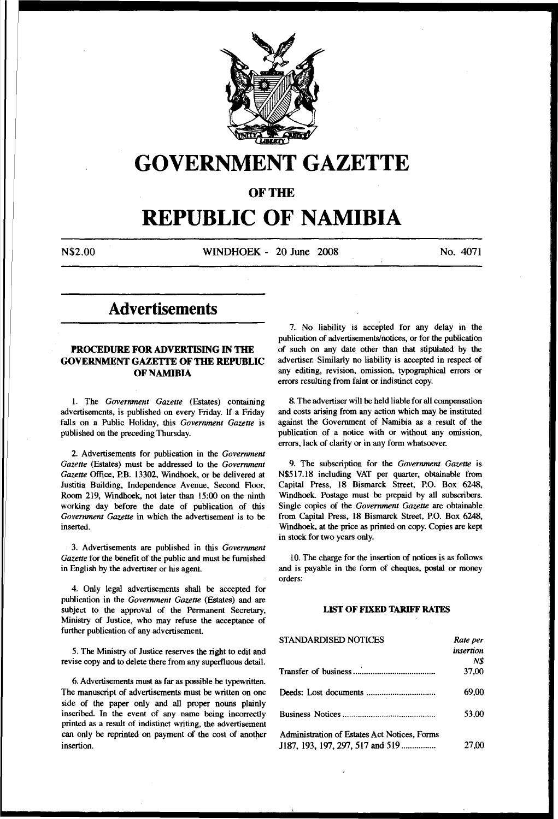

# **GOVERNMENT GAZETTE**

OF THE

# **REPUBLIC OF** NAMIBIA

N\$2.00 WINDHOEK - 20 June 2008 No. 4071

# Advertisements

# PROCEDURE FOR ADVERTISING IN THE GOVERNMENT GAZETTE OF THE REPUBLIC OF NAMIBIA

1. The *Government Gazette* (Estates) containing advertisements, is published on every Friday. If a Friday falls on a Public Holiday, this *Government Gazette* is published on the preceding Thursday.

2. Advertisements for publication in the *Government Gazette* (Estates) must be addressed to the *Government Gazette* Office, P.B. 13302, Windhoek, or be delivered at Justitia Building, Independence Avenue, Second Floor, Room 219, Windhoek, not later than 15:00 on the ninth working day before the date of publication of this *Government Gazette* in which the advertisement is to be inserted.

3. Advertisements are published in this *Government Gazette* for the benefit of the public and must be furnished in English by the advertiser or his agent

4. Only legal advertisements shall be accepted for publication in the *Government Gazette* (Estates) and are subject to the approval of the Permanent Secretary, Ministry of Justice, who may refuse the acceptance of further publication of any advertisement

5. The Ministry of Justice reserves the right to edit and revise copy and to delete there from any superfluous detail.

6. Advertisements must as far as possible be typewritten. The manuscript of advertisements must be written on one side of the paper only and all proper nouns plainly inscribed. In the event of any name being incorrectly printed as a result of indistinct writing, the advertisement can only be reprinted on payment of the cost of another insertion.

7. No liability is accepted for any delay in the publication of advertisements/notices, or for the publication of such on any date other than that stipulated by the advertiser. Similarly no liability is accepted in respect of any editing, revision, omission, typographical errors or errors resulting from faint or indistinct copy.

8. The advertiser will be held liable for all compensation and costs arising from any action which may be instituted against the Goverrunent of Namibia as a result of the publication of a notice with or without any omission, errors, lack of clarity or in any form whatsoever.

9. The subscription for the *Government Gazette* is N\$517.18 including VAT per quarter, obtainable from Capital Press, 18 Bismarck Street, P.O. Box 6248, Windhoek. Postage must be prepaid by all subscribers. Single copies of the *Government Gazette* are obtainable from Capital Press, 18 Bismarck Street, P.O. Box 6248, Windhoek, at the price as printed on copy. Copies are kept in stock for two years only.

10. The charge for the insertion of notices is as follows and is payable in the form of cheques, postal or money orders:

### LIST OF FIXED TARIFF RATES

| STANDARDISED NOTICES                                                             | Rate per<br>insertion |
|----------------------------------------------------------------------------------|-----------------------|
|                                                                                  | N\$                   |
|                                                                                  | 37.00                 |
|                                                                                  | 69.00                 |
|                                                                                  | 53.00                 |
| Administration of Estates Act Notices, Forms<br>J187, 193, 197, 297, 517 and 519 | 27.00                 |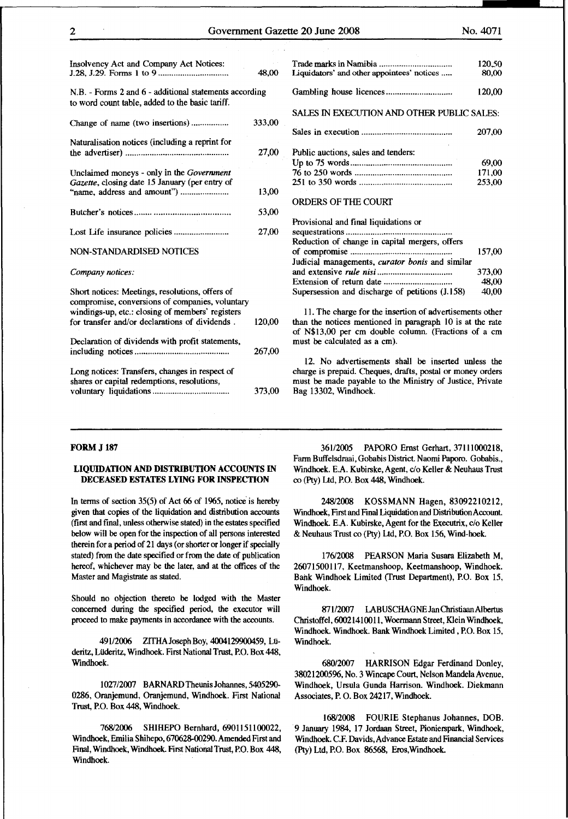373,00 48,00 40,00

| Insolvency Act and Company Act Notices:                                                                   | 48,00  | Liquidators' and other appointees' notices        |
|-----------------------------------------------------------------------------------------------------------|--------|---------------------------------------------------|
| N.B. - Forms 2 and 6 - additional statements according<br>to word count table, added to the basic tariff. |        |                                                   |
| Change of name (two insertions)                                                                           | 333,00 | SALES IN EXECUTION AND OTHER PUBLIC               |
| Naturalisation notices (including a reprint for                                                           |        |                                                   |
|                                                                                                           | 27,00  | Public auctions, sales and tenders:               |
|                                                                                                           |        |                                                   |
| Unclaimed moneys - only in the Government                                                                 |        |                                                   |
| Gazette, closing date 15 January (per entry of                                                            |        |                                                   |
|                                                                                                           | 13,00  |                                                   |
|                                                                                                           |        | <b>ORDERS OF THE COURT</b>                        |
|                                                                                                           | 53,00  |                                                   |
|                                                                                                           |        | Provisional and final liquidations or             |
|                                                                                                           | 27,00  |                                                   |
|                                                                                                           |        | Reduction of change in capital mergers, offers    |
| NON-STANDARDISED NOTICES                                                                                  |        |                                                   |
|                                                                                                           |        | Judicial managements, curator bonis and simils    |
| Company notices:                                                                                          |        |                                                   |
|                                                                                                           |        |                                                   |
|                                                                                                           |        |                                                   |
| Short notices: Meetings, resolutions, offers of                                                           |        | Supersession and discharge of petitions (J.158)   |
| compromise, conversions of companies, voluntary                                                           |        |                                                   |
| windings-up, etc.: closing of members' registers                                                          |        | 11. The charge for the insertion of advertisem    |
| for transfer and/or declarations of dividends.                                                            | 120,00 | than the notices mentioned in paragraph 10 is.    |
|                                                                                                           |        | of N\$13,00 per cm double column. (Fractions      |
| Declaration of dividends with profit statements,                                                          |        | must be calculated as a cm).                      |
|                                                                                                           | 267,00 |                                                   |
|                                                                                                           |        | 12. No advertisements shall be inserted           |
| Long notices: Transfers, changes in respect of                                                            |        | charge is prepaid. Cheques, drafts, postal or mo. |
| shares or capital redemptions, resolutions,                                                               |        | must be made payable to the Ministry of Justic    |
|                                                                                                           | 373,00 | Bag 13302, Windhoek.                              |

| Liquidators' and other appointees' notices                                                                                                 | 120.50<br>80,00           |
|--------------------------------------------------------------------------------------------------------------------------------------------|---------------------------|
|                                                                                                                                            | 120,00                    |
| SALES IN EXECUTION AND OTHER PUBLIC SALES:                                                                                                 |                           |
|                                                                                                                                            | 207,00                    |
| Public auctions, sales and tenders:<br><b>ORDERS OF THE COURT</b>                                                                          | 69,00<br>171.00<br>253,00 |
| Provisional and final liquidations or<br>Reduction of change in capital mergers, offers<br>Judicial managements, curator bonis and similar | 157.00                    |

II. The charge for the insertion of advertisements other n the notices mentioned in paragraph 10 is at the rate N\$13,00 per cm double column. (Fractions of a cm st be calculated as a cm).

12. No advertisements shall be inserted unless the rge is prepaid. Cheques, drafts, postal or money orders st be made payable to the Ministry of Justice, Private g 13302, Windhoek.

# FORM J 187

# LIQUIDATION AND DISTRIBUTION ACCOUNTS IN DECEASED ESTATES LYING FOR INSPECTION

In terms of section  $35(5)$  of Act 66 of 1965, notice is hereby given that copies of the liquidation and distribution accounts (first and final, unless otherwise stated) in the estates specified below will be open for the inspection of all persons interested therein for a period of 21 days (or shorter or longer if specially stated) from the date specified or from the date of publication hereof, whichever may be the later, and at the offices of the Master and Magistrate as stated.

Should no objection thereto be lodged with the Master concerned during the specified period, the executor will proceed to make payments in accordance with the accounts.

491/2006 ZITHAJosephBoy, 4004129900459, Ltideritz, Lüderitz, Windhoek. First National Trust, P.O. Box 448, Windhoek.

1027/2007 BARNARD Theunis Johannes, 5405290- 0286, Oranjemund, Oranjemund, Windhoek. First National Trust, P.O. Box 448, Windhoek.

768/2006 SHIHEPO Bernhard, 6901151100022, Windhoek, Emilia Shihepo, 670628-00290. Amended First and Final, Windhoek, Windhoek. First National Trust, P.O. Box 448, Windhoek.

36112005 PAPORO Ernst Gerhart, 37111000218, Farm Buffelsdraai, Gobabis District Naomi Paporo. Gobabis., Windhoek. E.A. Kubirske, Agent, c/o Keller & Neuhaus Trust co (Pty) Ltd, P.O. Box 448, Windhoek.

248/2008 KOSSMANN Hagen, 83092210212, Windhoek, First and Final Liquidation and Distribution Account Windhoek. E.A. Kubirske, Agent for the Executrix, c/o Keller & Neuhaus Trust co (Pty) Ltd, P.O. Box 156, Wind-hoek.

176/2008 PEARSON Maria Susara Elizabeth M, 26071500117, Keetmanshoop, Keetmanshoop, Windhoek. Bank Windhoek Limited (Trust Department), P.O. Box 15, Windhoek.

871/2007 IABUSCHAGNE Jan ChristiaanAibertus Christoffel, 60021410011, Woermann Street, Klein Windhoek, Windhoek. Windhoek. Bank Windhoek Limited, P.O. Box 15, Windhoek.

680/2007 HARRISON Edgar Ferdinand Donley, 38021200596, No. 3 Wincape Court, Nelson Mandela Avenue, Windhoek, Ursula Gunda Harrison. Windhoek. Diekmann Associates, P. 0. Box 24217, Windhoek.

168/2008 FOURIE Stephanus Johannes, DOB. 9 January 1984, 17 Jordaan Street, Pionierspark, Windhoek, Windhoek. C.F. Davids, Advance Estate and Financial Services (Pty) Ltd, P.O. Box 86568, Eros, Windhoek.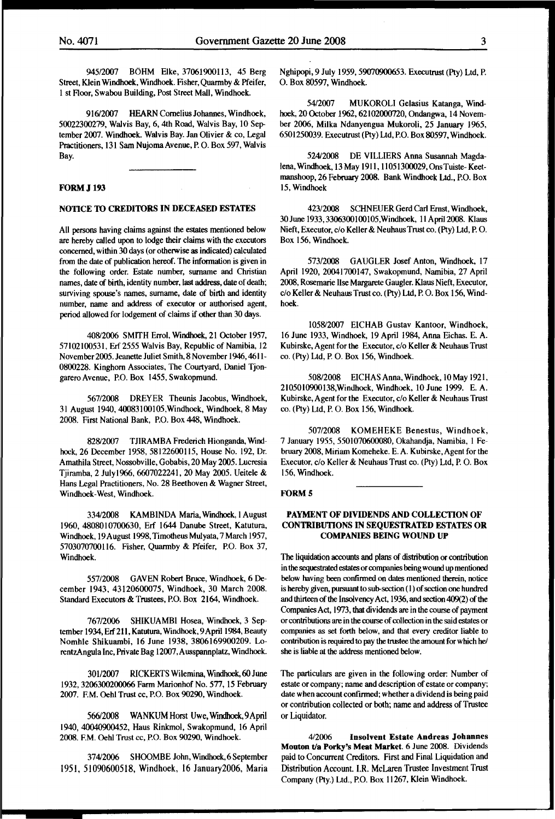945/2007 BOHM Elke, 37061900113, 45 Berg Street, Klein Windhoek, Windhoek. Fisher, Quarrnby & Pfeifer, 1 st Floor, Swabou Building, Post Street Mall, Windhoek.

916/2007 HEARN Cornelius Johannes, Windhoek, 50022300279, Walvis Bay, 6, 4th Road, Walvis Bay, 10 September 2007. Windhoek. Walvis Bay. Jan Olivier & co, Legal Practitioners, 131 Sam Nujoma Avenue, P. 0. Box 597, Walvis Bay.

# FORM J 193

# NOTICE TO CREDITORS IN DECEASED ESTATES

All persons having claims against the estates mentioned below are hereby called upon to lodge their claims with the executors concerned, within 30 days (or otherwise as indicated) calculated from the date of publication hereof. The information is given in the following order. Estate number, surname and Christian names, date of birth, identity number, last address, date of death; surviving spouse's names, surname, date of birth and identity number, name and address of executor or authorised agent, period allowed for lodgement of claims if other than 30 days.

40812006 SMITH Errol, Windhoek, 21 October 1957, 57102100531, Erf 2555 Walvis Bay, Republic of Namibia, 12 November 2005. Jeanette Juliet Smith, 8 November 1946,4611- 0800228. Kinghorn Associates, The Courtyard, Daniel Tjongarero Avenue, P.O. Box 1455, Swakopmund.

567/2008 DREYER Theunis Jacobus, Windhoek, 31 August 1940, 40083100105,Windhoek, Windhoek, 8 May 2008. First National Bank, P.O. Box 448, Windhoek.

82812007 TJIRAMBA Frederich Hionganda, Windhock, 26 December 1958, 58122600115, House No. 192, Dr. Amathila Street, Nossobville, Gobabis, 20 May 2005. Lucresia Tjiramba, 2 July1966, 6607022241,20 May 2005. Ueitele & Hans Legal Practitioners, No. 28 Beethoven & Wagner Street, Windhoek-West, Windhoek.

33412008 KAMBINDA Maria, Windhoek, I August 1960, 4808010700630, Erf 1644 Danube Street, Katutura, Windhoek, 19 August 1998, Timotheus Mulyata, 7 March 1957, 5703070700116. Fisher, Quarrnby & Pfeifer, P.O. Box 37, Windhoek.

557/2008 GAVEN Robert Bruce, Windhoek, 6 December 1943, 43120600075, Windhoek, 30 March 2008. Standard Executors & Trustees, P.O. Box 2164, Windhoek.

767/2006 SHIKUAMBI Hosea, Windhoek, 3 September 1934, Erf 211, Katutura, Windhoek, 9 April 1984, Beauty Nomhle Shikuambi, 16 June 1938, 3806169900209. LorentzAngula Inc, Private Bag 12007, Ausspannplatz, Windhoek.

301/2007 RICKERTS Wilemina, Windhoek,60June 1932, 3206300200066 Farm Marionhof No. 577, 15 February 2007. F.M. Oehl Trust cc, P.O. Box 90290, Windhoek.

566/2008 WANKUM Horst Uwe, Windhoek:, 9April 1940, 40040900452, Haus Rinkmol, Swakopmund, 16 April 2008. F.M. Oehl Trust cc, P.O. Box 90290, Windhoek.

37412006 SHOOMBE John, Windhoek, 6 September 1951, 51090600518, Windhoek, 16 January2006, Maria Nghipopi, 9 July 1959,59070900653. Executrust (Pty) Ltd, P. 0. Box 80597, Windhoek.

5412007 MUKOROLI Gelasius Katanga, Windhock, 20 October 1962, 62102000720, Ondangwa, 14 November 2006, Milka Ndanyengua Mukoroli, 25 January 1965, 6501250039. Executrust (Pty) Ltd, P.O. Box 80597, Windhoek.

52412008 DE VILLIERS Anna Susannah Magdalena, Windhoek, 13 May 191l, II 051300029, Ons Tuiste- Keetrnanshoop, 26 February 2008. Bank Windhoek Ltd., P.O. Box 15, Windhoek

423/2008 SCHNEUER Gerd Carl Ernst, Windhoek, 30June 1933,3306300100105,Windhoek, llApri12008. Klaus Nieft, Executor, c/o Keller & Neuhaus Trust co. (Pty) Ltd, P. 0. Box 156, Windhoek.

573/2008 GAUGLER Josef Anton, Windhoek, 17 April 1920, 20041700147, Swakopmund, Namibia, 27 April 2008, Rosemarie Ilse Margarete Gaugler. Klaus Nieft, Executor, c/o Keller & Neuhaus Trust co. (Pty) Ltd, P. 0. Box 156, Windhoek.

105812007 EICHAB Gustav Kantoor, Windhoek, 16 June 1933, Windhoek, 19 April 1984, Anna Eichas. E. A. Kubirske, Agent for the Executor, c/o Keller & Neuhaus Trust co. (Pty) Ltd, P. 0. Box 156, Windhoek.

508/2008 EICHAS Anna, Windhoek, 10 May 1921, 2105010900138,Windhoek, Windhoek, 10 June 1999. E. A. Kubirske, Agent for the Executor, c/o Keller & Neuhaus Trust co. (Pty) Ltd, P. 0. Box 156, Windhoek.

507/2008 KOMEHEKE Benestus, Windhoek, 7 January 1955, 5501070600080, Okahandja, Namibia, I February 2008, Miriam Komeheke. E. A. Kubirske, Agent for the Executor, c/o Keller & Neuhaus Trust co. (Pty) Ltd, P. 0. Box 156, Windhoek.

# FORM<sub>5</sub>

# PAYMENT OF DIVIDENDS AND COLLECTION OF CONTRIBUTIONS IN SEQUESTRATED ESTATES OR COMPANIES BEING WOUND UP

The liquidation accounts and plans of distribution or contribution in the sequestrated estates or companies being wound up mentioned below having been confirmed on dates mentioned therein, notice is hereby given, pursuant to sub-section (I) of section one hundred and thirteen of the Insolvency Act, 1936, and section 409(2) of the Companies Act, 1973, that dividends are in the course of payment or contributions are in the course of collection in the said estates or companies as set forth below, and that every creditor liable to contribution is required to pay the trustee the amount for which he/ she is liable at the address mentioned below.

The particulars are given in the following order: Number of estate or company; name and description of estate or company; date when account confirmed; whether a dividend is being paid or contribution collected or both; name and address of Trustee or Liquidator.

4/2006 Insolvent Estate Andreas Johannes Mouton t/a Porky's Meat Market. 6 June 2008. Dividends paid to Concurrent Creditors. First and Final Liquidation and Distribution Account. I.R. McLaren Trustee Investment Trust Company (Pty.) Ltd., P.O. Box 11267, Klein Windhoek.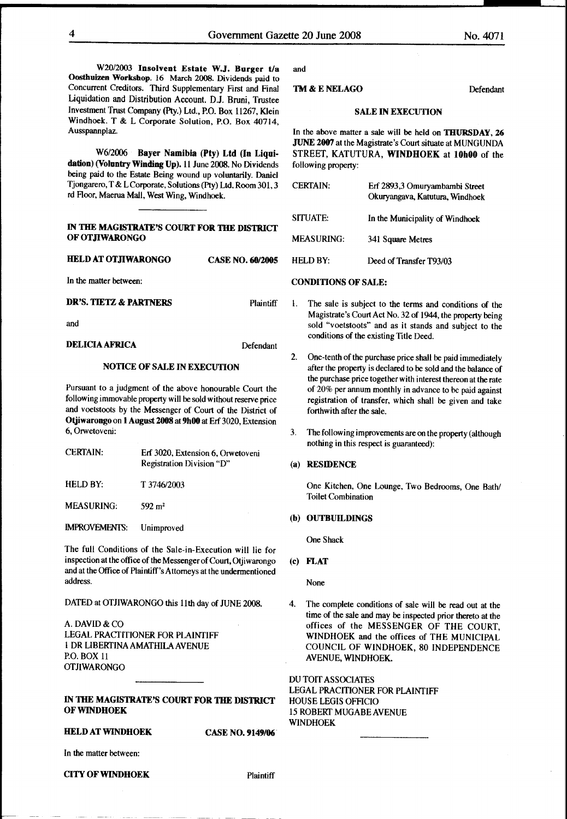W20/2003 Insolvent Estate W.J. Borger t/a Oosthuizen Workshop. 16 March 2008. Dividends paid to Concurrent Creditors. Third Supplementary First and Final Liquidation and Distribution Account. D.J. Bruni, Trustee Investment Trust Company (Pty.) Ltd., P.O. Box 11267, Klein Windhoek. T & L Corporate Solution, P.O. Box 40714, Ausspannplaz.

W6/2006 Bayer Namibia (Pty) Ltd (In Liquidation) (Voluntry Winding Up). 11 June 2008. No Dividends being paid to the Estate Being wound up voluntarily. Daniel Tjongarero, T & LCorporate, Solutions (Pty) Ltd. Room 301,3 rd F1oor, Maerua Mall, West Wing, Windhoek.

#### IN THE MAGISTRATE'S COURT FOR THE DISTRICT OF OTJIWARONGO

HELD AT OTJIWARONGO CASE NO. 60/2005

and

DELICIA AFRICA Defendant

### NOTICE OF SALE IN EXECUTION

Pursuant to a judgment of the above honourable Court the following immovable property will be sold without reserve price and voetstoots by the Messenger of Court of the District of Otjiwarongo on 1 August 2008 at 9h00 at Erf 3020, Extension 6, Orwetoveni:

| <b>CERTAIN:</b>      | Erf 3020, Extension 6, Orwetoveni<br>Registration Division "D" |
|----------------------|----------------------------------------------------------------|
| HELD BY:             | T 3746/2003                                                    |
| <b>MEASURING:</b>    | $592 \text{ m}^2$                                              |
| <b>IMPROVEMENTS:</b> | Unimproved                                                     |

The full Conditions of the Sale-in-Execution will lie for inspection at the office of the Messenger of Court, Otji warongo and at the Office of Plaintiff's Attorneys at the undermentioned address.

DATED at OTJIWARONGO this 11th day of JUNE 2008.

A.DAVID&CO LEGAL PRACTITIONER FOR PLAINTIFF 1 DR LIBERTINA AMATHILA AVENUE P.O. BOX 11 OTJIWARONGO

# IN THE MAGISTRATE'S COURT FOR THE DISTRICT OF WINDHOEK

# HELD AT WINDHOEK CASE NO. 9149/06

In the matter between:

#### CITY OF WINDHOEK Plaintiff

and

#### TM & ENELAGO Defendant

# SALE IN EXECUTION

In the above matter a sale will be held on THURSDAY, 26 JUNE 2007 at the Magistrate's Court situate at MUNGUNDA STREET, KATUTURA, WINDHOEK at lOhOO of the following property:

| <b>CERTAIN:</b> | Erf 2893,3 Omuryambambi Street<br>Okuryangava, Katutura, Windhoek |
|-----------------|-------------------------------------------------------------------|
| <b>SITUATE:</b> | In the Municipality of Windhoek                                   |
| MEASURING:      | 341 Square Metres                                                 |
| <b>HELD BY:</b> | Deed of Transfer T93/03                                           |

# In the matter between: CONDITIONS OF SALE:

- DR'S. TIETZ & PARTNERS Plaintiff 1. The sale is subject to the terms and conditions of the Magistrate's Court Act No. 32 of 1944, the property being sold "voetstoots" and as it stands and subject to the conditions of the existing Title Deed.
	- 2. One-tenth of the purchase price shall be paid immediately after the property is declared to be sold and the balance of the purchase price together with interest thereon at the rate of 20% per annum monthly in advance to be paid against registration of transfer, which shall be given and take forthwith after the sale.
	- 3. The following improvements are on the property (although nothing in this respect is guaranteed):

#### (a) RESIDENCE

One Kitchen, One Lounge, Two Bedrooms, One Bath/ Toilet Combination

#### (b) OUTBUILDINGS

One Shack

(c) FLAT

None

4. The complete conditions of sale will be read out at the time of the sale and may be inspected prior thereto at the offices of the MESSENGER OF THE COURT, WINDHOEK and the offices of THE MUNICIPAL COUNCIL OF WINDHOEK, 80 INDEPENDENCE AVENUE, WINDHOEK.

DU TOIT ASSOCIATES LEGAL PRACITIONER FOR PLAINTIFF HOUSE LEGIS OFFICIO 15 ROBERT MUGABEAVENUE WINDHOEK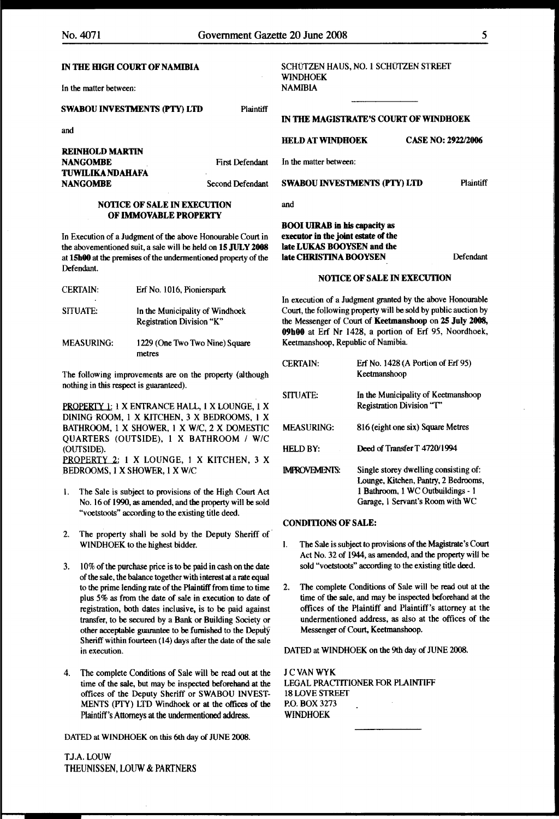In the matter between:

# SWABOU INVESTMENTS (PTY) LTD Plaintiff

and

| REINHOLD MARTIN  |                |
|------------------|----------------|
| NANGOMBE         | First Defenda  |
| TUWILIKA NDAHAFA |                |
| NANGOMBE         | Second Defenda |

# NOTICE OF SALE IN EXECUTION OF IMMOVABLE PROPERTY

In Execution of a Judgment of the above Honourable Court in the abovementioned suit, a sale will be held on 15 JULY 2008 at lShOO at the premises of the undermentioned property of the Defendant.

| <b>CERTAIN:</b><br>٠ | Erf No. 1016, Pionierspark                                   |
|----------------------|--------------------------------------------------------------|
| <b>SITUATE:</b>      | In the Municipality of Windhoek<br>Registration Division "K" |
| <b>MEASURING:</b>    | 1229 (One Two Two Nine) Square<br>metres                     |

The following improvements are on the property {although nothing in this respect is guaranteed).

PROPERTY 1: 1 X ENTRANCE HALL, 1 X LOUNGE, 1 X DINING ROOM, 1 X KITCHEN, 3 X BEDROOMS, I X BATHROOM, 1 X SHOWER, 1 X W/C, 2 X DOMESTIC QUARTERS (OUTSIDE), 1 X BATHROOM I WIC (OUTSIDE). HELD BY: Deed ofTransferT 4720/1994 PROPERTY 2: 1 X LOUNGE, 1 X KITCHEN, 3 X BEDROOMS, I X SHOWER, 1 X W/C

- I. The Sale is subject to provisions of the High Court Act No. 16 of 1990, as amended, and the property will be sold "voetstoots" according to the existing title deed.
- 2. The property shall be sold by the Deputy Sheriff of· WINDHOEK to the highest bidder.
- 3. 10% of the purchase price is to be paid in cash on the date of the sale, the balance together with interest at a rate equal to the prime lending rate of the Plaintiff from time to time plus 5% as from the date of sale in execution to date of registration, both dates inclusive, is to be paid against transfer, to be secured by a Bank or Building Society or other acceptable guarantee to be furnished to the Deputy Sheriff within fourteen (14) days after the date of the sale in execution.
- 4. The complete Conditions of Sale will be read out at the time of the sale, but may be inspected beforehand at the offices of the Deputy Sheriff or SWABOU INVEST-MENTS (PTY) LTD Windhoek or at the offices of the Plaintiff's Attorneys at the undermentioned address.

DATED at WINDHOEK on this 6th day of JUNE 2008.

TJ.A.LOUW THEUNISSEN, LOUW & PARTNERS

#### SCHÜTZEN HAUS, NO. 1 SCHÜTZEN STREET WINDHOEK **NAMIBIA**

IN THE MAGISTRATE'S COURT OF WINDHOEK

HELD AT WINDHOEK CASE NO: 2922/2006

In the matter between:

Int SWABOU INVESTMENTS (PTY) LTD Plaintiff

and

# BOOI UIRAB in his capacity as executor in the joint estate of the late LUKAS BOOYSEN and the late CHRISTINA BOOYSEN

Defendant

#### NOTICE OF SALE IN EXECUTION

In execution of a Judgment granted by the above Honourable Court, the following property will be sold by public auction by the Messenger of Court of Keetmansboop on 2S July 2008, 09b00 at Erf Nr I428, a portion of Erf 95, Noordhoek, Keetmanshoop, Republic of Namibia

| <b>CERTAIN:</b>      | Erf No. 1428 (A Portion of Erf 95)<br>Keetmanshoop                                                                                                     |
|----------------------|--------------------------------------------------------------------------------------------------------------------------------------------------------|
| <b>SITUATE:</b>      | In the Municipality of Keetmanshoop<br>Registration Division "T"                                                                                       |
| <b>MEASURING:</b>    | 816 (eight one six) Square Metres                                                                                                                      |
| <b>HELD BY:</b>      | Deed of Transfer T 4720/1994                                                                                                                           |
| <b>IMPROVEMENTS:</b> | Single storey dwelling consisting of:<br>Lounge, Kitchen, Pantry, 2 Bedrooms,<br>1 Bathroom, 1 WC Outbuildings - 1<br>Garage, 1 Servant's Room with WC |

#### CONDITIONS OF SALE:

- I. The Sale is subject to provisions of the Magistrate's Court Act No. 32 of 1944, as amended, and the property will be sold "voetstoots" according to the existing title deed.
- 2. The complete Conditions of Sale will be read out at the time of the sale, and may be inspected beforehand at the offices of the Plaintiff and Plaintiff's attorney at the undermentioned address, as also at the offices of the Messenger of Court, Keetmanshoop.

DATED at WINDHOEK on the 9th day of JUNE 2008.

JCVANWYK LEGAL PRACTITIONER FOR PLAINTIFF 18 LOVE STREET P.O. BOX 3273 WINDHOEK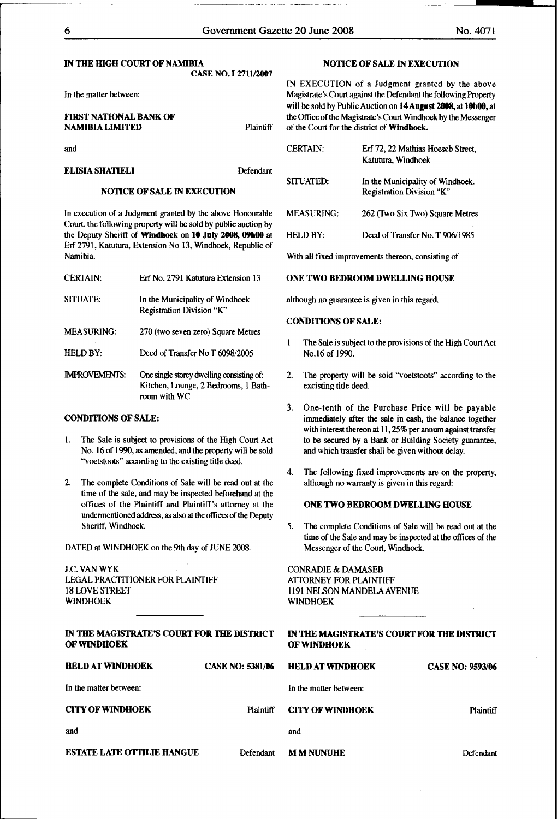#### IN THE HIGH COURT OF NAMIBIA CASE NO. I 2711J2007

In the matter between:

and

# ELISIA SHATIELI Defendant

# NOTICE OF SALE IN EXECUTION

In execution of a Judgment granted by the above Honourable Court, the following property will be sold by public auction by the Deputy Sheriff of Windhoek on 10 July 2008, 09h00 at Erf 2791, Katutura, Extension No 13, Windhoek, Republic of Namibia.

| <b>CERTAIN:</b>      | Erf No. 2791 Katutura Extension 13                                                                |
|----------------------|---------------------------------------------------------------------------------------------------|
| SITUATE:             | In the Municipality of Windhoek<br>Registration Division "K"                                      |
| <b>MEASURING:</b>    | 270 (two seven zero) Square Metres                                                                |
| <b>HELD BY:</b>      | Deed of Transfer No T 6098/2005                                                                   |
| <b>IMPROVEMENTS:</b> | One single storey dwelling consisting of:<br>Kitchen, Lounge, 2 Bedrooms, 1 Bath-<br>room with WC |

# CONDITIONS OF SALE:

- I. The Sale is subject to provisions of the High Court Act No. 16 of 1990, as amended, and the property will be sold "voetstoots" according to the existing title deed.
- 2. The complete Conditions of Sale will be read out at the time of the sale, and may be inspected beforehand at the offices of the Plaintiff and Plaintiff's attorney at the undennentioned address, as also at the offices of the Deputy Sheriff, Windhoek.

DATED at WINDHOEK on the 9th day of JUNE 2008.

J.C. VANWYK LEGAL PRACTITIONER FOR PLAINTIFF 18 LOVE STREET WINDHOEK

# NOTICE OF SALE IN EXECUTION

IN EXECUTION of a Judgment granted by the above Magistrate's Court against the Defendant the following Property will be sold by Public Auction on 14 August 2008, at 10h00, at **FIRST NATIONAL BANK OF** the Office of the Magistrate's Court Windhoek by the Messenger<br>
NAMIBIA LIMITED Plaintiff of the Court for the district of Windhoek. of the Court for the district of Windhoek.

| <b>CERTAIN:</b> | Erf 72, 22 Mathias Hoeseb Street,<br>Katutura, Windhoek       |
|-----------------|---------------------------------------------------------------|
| SITUATED:       | In the Municipality of Windhoek.<br>Registration Division "K" |
| MEASURING:      | 262 (Two Six Two) Square Metres                               |
| HELD BY:        | Deed of Transfer No. T 906/1985                               |

With all fixed improvements thereon, consisting of

# ONE TWO BEDROOM DWELLING HOUSE

although no guarantee is given in this regard.

# CONDITIONS OF SALE:

- I. The Sale is subject to the provisions of the High Court Act No.16 of 1990.
- 2. The property will be sold "voetstoots" according to the excisting title deed.
- 3. One-tenth of the Purchase Price will be payable immediately after the sale in cash, the balance together with interest thereon at I1, 25% per annum against transfer to be secured by a Bank or Building Society guarantee, and which transfer shall be given without delay.
- 4. The following fixed improvements are on the property, although no warranty is given in this regard:

# ONE TWO BEDROOM DWELLING HOUSE

5. The complete Conditions of Sale will be read out at the time of the Sale and may be inspected at the offices of the Messenger of the Court, Windhoek.

CONRADIE & DAMASEB ATTORNEY FOR PLAINTIFF 1191 NELSON MANDELAAVENUE WINDHOEK

| IN THE MAGISTRATE'S COURT FOR THE DISTRICT<br><b>OF WINDHOEK</b> |                         | IN THE MAGISTRATE'S COURT FOR THE DISTRICT<br><b>OF WINDHOEK</b> |                         |
|------------------------------------------------------------------|-------------------------|------------------------------------------------------------------|-------------------------|
| <b>HELD AT WINDHOEK</b>                                          | <b>CASE NO: 5381/06</b> | <b>HELD AT WINDHOEK</b>                                          | <b>CASE NO: 9593/06</b> |
| In the matter between:                                           |                         | In the matter between:                                           |                         |
| <b>CITY OF WINDHOEK</b>                                          | Plaintiff               | <b>CITY OF WINDHOEK</b>                                          | <b>Plaintiff</b>        |
| and                                                              |                         | and                                                              |                         |
| <b>ESTATE LATE OTTILIE HANGUE</b>                                | Defendant               | <b>MMNINIHE</b>                                                  | Defendant               |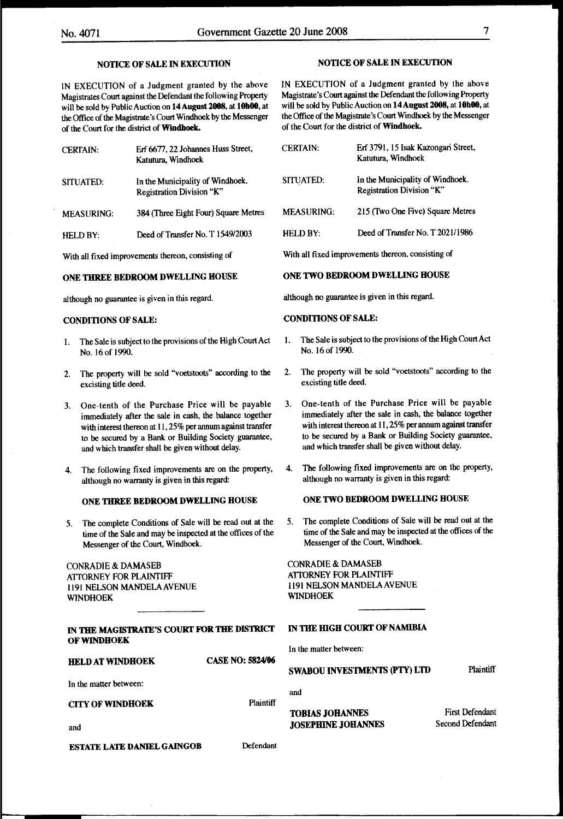# NOTICE OF SALE IN EXECUTION

IN EXECUTION of a Judgment granted by the above Magistrates Court against the Defendant the following Property will be sold by Public Auction on 14 August 2008, at 10h00, at the Office of the Magistrate's Court Windhoek by the Messenger of the Court for the district of Windhoek.

| <b>CERTAIN:</b>   | Erf 6677, 22 Johannes Huss Street,<br>Katutura, Windhoek      |
|-------------------|---------------------------------------------------------------|
| SITUATED:         | In the Municipality of Windhoek.<br>Registration Division "K" |
| <b>MEASURING:</b> | 384 (Three Eight Four) Square Metres                          |
| <b>HELD BY:</b>   | Deed of Transfer No. T 1549/2003                              |

With all fixed improvements thereon, consisting of

#### ONE THREE BEDROOM DWELLING HOUSE

although no guarantee is given in this regard.

## CONDITIONS OF SALE:

- The Sale is subject to the provisions of the High Court Act No.l6of 1990.
- 2. The property will be sold "voetstoots" according to the excisting title deed.
- 3. One-tenth of the Purchase Price will be payable immediately after the sale in cash, the balance together with interest thereon at 11, 25% per annum against transfer to be secured by a Bank or Building Society guarantee, and which transfer shall be given without delay.
- 4. The following fixed improvements are on the property, although no warranty is given in this regard:

# ONE THREE BEDROOM DWELLING HOUSE

*5.* The complete Conditions of Sale will be read out at the time of the Sale and may be inspected at the offices of the Messenger of the Court, Windhoek.

CONRADIE & DAMASEB ATTORNEY FOR PLAINTIFF 1191 NELSON MANDELAAVENUE WINDHOEK

| IN THE MAGISTRATE'S COURT FOR THE DISTRICT |  |  |
|--------------------------------------------|--|--|
| OF WINDHOEK                                |  |  |

HELD AT WINDHOEK CASE NO: 5824/06

In the matter between:

and

CITY OF WINDHOEK Plaintiff

# NOTICE OF SALE IN EXECUTION

IN EXECUTION of a Judgment granted by the above Magistrate's Court against the Defendant the following Property will be sold by Public Auction on 14 August 2008, at 10h00, at the Office of the Magistrate's Court Windhoek by the Messenger of the Court for the district of Windhoek.

| <b>CERTAIN:</b>   | Erf 3791, 15 Isak Kazongari Street,<br>Katutura, Windhoek     |
|-------------------|---------------------------------------------------------------|
| SITUATED:         | In the Municipality of Windhoek.<br>Registration Division "K" |
| <b>MEASURING:</b> | 215 (Two One Five) Square Metres                              |
| HELD BY:          | Deed of Transfer No. T 2021/1986                              |

With all fixed improvements thereon, consisting of

#### ONE TWO BEDROOM DWELLING HOUSE

although no guarantee is given in this regard.

### CONDITIONS OF SALE:

- 1. The Sale is subject to the provisions of the High Court Act No. 16 of 1990.
- 2. The property will be sold "voetstoots" according to the excisting title deed.
- 3. One-tenth of the Purchase Price will be payable immediately after the sale in cash, the balance together with interest thereon at II, 25% per annum against transfer to be secured by a Bank or Building Society guarantee, and which transfer shall be given without delay.
- 4. The following fixed improvements are on the property, although no warranty is given in this regard:

# ONE TWO BEDROOM DWELLING HOUSE

*5.* The complete Conditions of Sale will be read out at the time of the Sale and may be inspected at the offices of the Messenger of the Court, Windhoek.

CONRADIE & DAMASEB ATIORNEY FOR PLAINTIFF 1191 NELSON MANDELAAVENUE WINDHOEK

#### IN THE HIGH COURT OF NAMIBIA

In the matter between:

#### SWABOU INVESTMENTS (PTY) LTD

and

TOBIAS JOHANNES JOSEPHINE JOHANNES

First Defendant Second Defendant

Plaintiff

ESTATE LATE DANIEL GAINGOB Defendant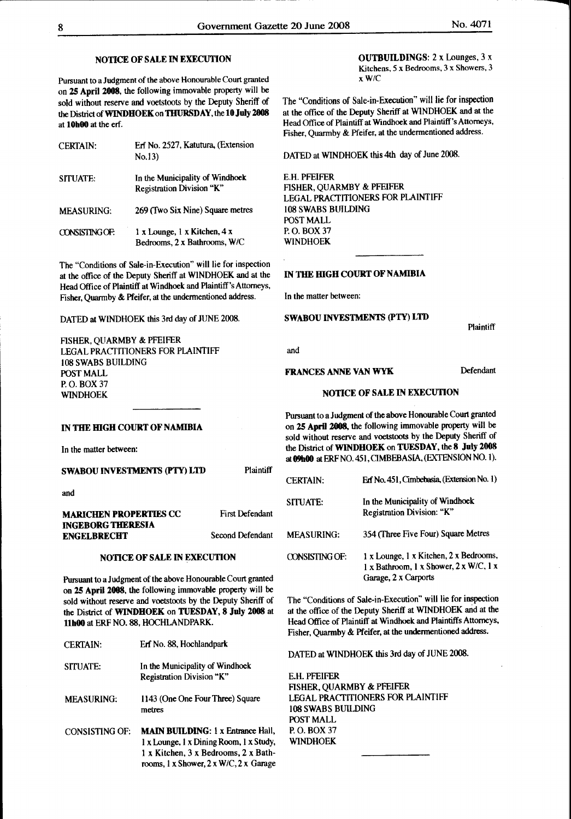# NOTICE OF SALE IN EXECUTION

Pursuant to a Judgment of the above Honourable Court granted on 2S April 2008, the following immovable property will be sold without reserve and voetstoots by the Deputy Sheriff of the District of WINDHOEK on THURSDAY, the 10 July 2008 at lObOO at the erf.

| <b>CERTAIN:</b>       | Erf No. 2527, Katutura, (Extension<br>No.13)                                      |
|-----------------------|-----------------------------------------------------------------------------------|
| SITUATE:              | In the Municipality of Windhoek<br>Registration Division "K"                      |
| <b>MEASURING:</b>     | 269 (Two Six Nine) Square metres                                                  |
| <b>CONSISTING OF:</b> | $1 \times$ Lounge, $1 \times$ Kitchen, $4 \times$<br>Bedrooms, 2 x Bathrooms, W/C |

The "Conditions of Sale-in-Execution" will lie for inspection at the office of the Deputy Sheriff at WINDHOEK and at the IN THE HIGH COURT OF NAMIBIA Head Office of Plaintiff at Windhoek and Plaintiff's Attorneys, Fisher, Quarmby & Pfeifer, at the undermentioned address. In the matter between:

DATED at WINDHOEK this 3rd day of JUNE 2008. SWABOU INVESTMENTS (PTY) LTD

FISHER, QUARMBY & PFEIFER LEGAL PRACTITIONERS FOR PLAINTIFF 108 SWABS BUILDING POST MALL P.O. BOX37 WINDHOEK

OUTBUILDINGS: 2 x Lounges, 3 x Kitchens, *5* x Bedrooms, 3 x Showers, 3 xW/C

The "Conditions of Sale-in-Execution" will lie for inspection at the office of the Deputy Sheriff at WINDHOEK and at the Head Office of Plaintiff at Windhoek and Plaintiff's Attorneys, Fisher, Quarmby & Pfeifer, at the undermentioned address.

DATED at WINDHOEK this 4th day of June 2008.

E.H. PFEIFER FISHER, QUARMBY & PFEIFER LEGAL PRACTITIONERS FOR PLAINTIFF 108 SWABS BUILDING POST MALL P.O. BOX37 WINDHOEK

**Plaintiff** 

and

# FRANCES ANNE VAN WYK Defendant

# NOTICE OF SALE IN EXECUTION

Pursuant to a Judgment of the above Honourable Court granted on 2S April 2008, the following immovable property will be sold without reserve and voetstoots by the Deputy Sheriff of the District of WINDHOEK on TUESDAY, the 8 July 2008 at 09h00 at ERF NO. 451, CIMBEBASIA, (EXTENSION NO. 1).

| <b>CERTAIN:</b>   | Erf No. 451. Cimbebasia. (Extension No. 1)                                                                       |
|-------------------|------------------------------------------------------------------------------------------------------------------|
| SITUATE:          | In the Municipality of Windhock<br>Registration Division: "K"                                                    |
| <b>MEASURING:</b> | 354 (Three Five Four) Square Metres                                                                              |
| CONSISTING OF:    | 1 x Lounge, 1 x Kitchen, 2 x Bedrooms,<br>$1 x$ Bathroom, $1 x$ Shower, $2 x$ W/C, $1 x$<br>Garage, 2 x Carports |

The "Conditions of Sale-in-Execution" will lie for inspection at the office of the Deputy Sheriff at WINDHOEK and at the Head Office of Plaintiff at Windhoek and Plaintiffs Attorneys, Fisher, Quarmby & Pfeifer, at the undermentioned address.

DATED at WINDHOEK this 3rd day of JUNE 2008.

E.H. PFEIFER FISHER, QUARMBY & PFEIFER LEGAL PRACTITIONERS FOR PLAINTIFF 108 SWABS BUilDING POST MALL P.O.BOX37 WINDHOEK

SWABOU INVESTMENTS (PTY) LTD

IN THE HIGH COURT OF NAMIBIA

In the matter between:

and

#### First Defendant **MARICHEN PROPERTIES CC** INGEBORG THERESIA ENGELBRECHT Second Defendant

# NOTICE OF SALE IN EXECUTION

Pursuant to a Judgment of the above Honourable Court granted on 2S April 2008, the following immovable property will be sold without reserve and voetstoots by the Deputy Sheriff of the District of WINDHOEK on TUESDAY, 8 July 2008 at llbOO at ERF NO. 88, HOCHLANDPARK.

| <b>CERTAIN:</b>       | Erf No. 88, Hochlandpark                                                                                                    |
|-----------------------|-----------------------------------------------------------------------------------------------------------------------------|
| SITUATE:              | In the Municipality of Windhock<br>Registration Division "K"                                                                |
| <b>MEASURING:</b>     | 1143 (One One Four Three) Square<br>metres                                                                                  |
| <b>CONSISTING OF:</b> | <b>MAIN BUILDING: 1 x Entrance Hall,</b><br>1 x Lounge, 1 x Dining Room, 1 x Study,<br>1 x Kitchen, 3 x Bedrooms, 2 x Bath- |

rooms, l x Shower, 2 x W/C, 2 x Garage

Plaintiff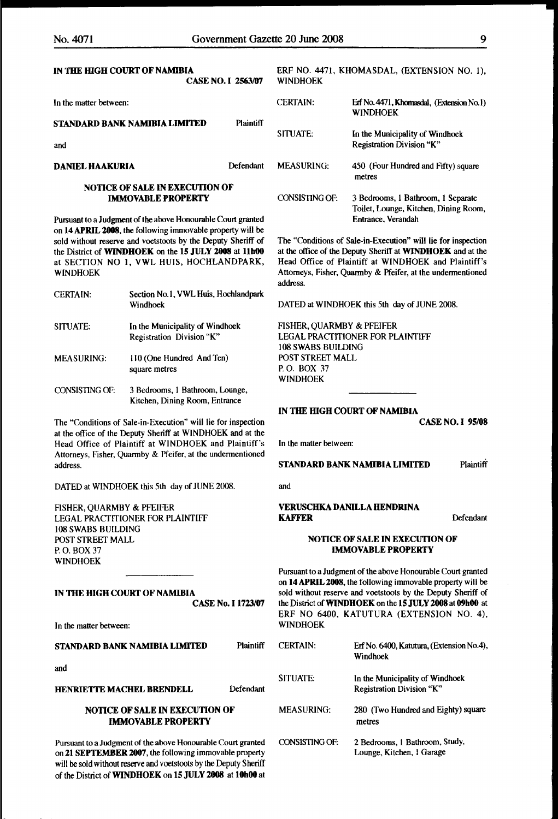and

| IN THE HIGH COURT OF NAMIBIA<br><b>CASE NO. I 2563/07</b> | <b>WINDHOEK</b> | ERF NO. 4471, KHOMASDAL, (EXTENSION NO. 1),                  |
|-----------------------------------------------------------|-----------------|--------------------------------------------------------------|
| In the matter between:                                    | <b>CERTAIN:</b> | Erf No. 4471, Khomasdal, (Extension No.1)<br><b>WINDHOEK</b> |

CONSISTING OF: 3 Bedrooms, 1 Bathroom, 1 Separate

Entrance. Verandah

The "Conditions of Sale-in-Execution" will lie for inspection at the office of the Deputy Sheriff at WINDHOEK and at the Head Office of Plaintiff at WINDHOEK and Plaintiff's Attorneys, Fisher, Quarmby & Pfeifer, at the undermentioned

DATED at WINDHOEK this 5th day of JUNE 2008.

FISHER, QUARMBY & PFEIFER

108 SWABS BUILDING POST STREET MALL P. 0. BOX 37 WINDHOEK

In the matter between:

and

LEGAL PRACTITIONER FOR PLAINTIFF

IN THE HIGH COURT OF NAMIBIA

Toilet, Lounge, Kitchen, Dining Room,

# STANDARD BANK NAMIBIA LIMITED Plaintiff SITUATE: In the Municipality of Windhoek Registration Division "K" **DANIEL HAAKURIA** Defendant MEASURING: 450 (Four Hundred and Fifty) square metres

address.

# NOTICE OF SALE IN EXECUTION OF IMMOVABLE PROPERTY

Pursuant to a Judgment of the above Honourable Court granted on 14 APRIL 2008, the following immovable property will be sold without reserve and voetstoots by the Deputy Sheriff of the District of WINDHOEK on the 15 JULY 2008 at 11h00 at SECTION NO 1, VWL HUIS, HOCHLANDPARK, WINDHOEK

| <b>CERTAIN:</b>       | Section No.1, VWL Huis, Hochlandpark<br>Windhoek                  |
|-----------------------|-------------------------------------------------------------------|
| SITUATE:              | In the Municipality of Windhoek<br>Registration Division "K"      |
| <b>MEASURING:</b>     | 110 (One Hundred And Ten)<br>square metres                        |
| <b>CONSISTING OF:</b> | 3 Bedrooms, 1 Bathroom, Lounge,<br>Kitchen, Dining Room, Entrance |

The "Conditions of Sale-in-Execution" will lie for inspection at the office of the Deputy Sheriff at WINDHOEK and at the Head Office of Plaintiff at WINDHOEK and Plaintiff's Attorneys, Fisher, Quarmby & Pfeifer, at the undermentioned address. TANDARD BANK NAMIBIA LIMITED Plaintiff

DATED at WINDHOEK this 5th day of JUNE 2008.

FISHER, QUARMBY & PFEIFER LEGAL PRACTITIONER FOR PLAINTIFF 108 SWABS BUILDING POST STREET MALL P. 0. BOX37 WINDHOEK

IN THE HIGH COURT OF NAMIBIA CASE No. I 1723/07

In the matter between:

STANDARD BANK NAMIBIA LIMITED Plaintiff

and

HENRIETTE MACHEL BRENDELL Defendant

# NOTICE OF SALE IN EXECUTION OF **IMMOVABLE PROPERTY**

Pursuant to a Judgment of the above Honourable Court granted on 21 SEPTEMBER 2007, the following immovable property will be sold without reserve and voetstoots by the Deputy Sheriff of the District of WINDHOEK on 15 JULY 2008 at 10h00 at

| VERUSCHKA DANILLA HENDRINA     |           |
|--------------------------------|-----------|
| KAFFER                         | Defendant |
| NOTICE OF SALE IN EXECUTION OF |           |

CASE NO. I 95/08

### **NOTICE OF** IMMOVABLE PROPERTY

Pursuant to a Judgment of the above Honourable Court granted on 14 APRIL 2008, the following immovable property will be sold without reserve and voetstoots by the Deputy Sheriff of the District of WINDHOEK on the 15 JULY 2008 at 09b00 at ERF NO 6400, KATUTURA (EXTENSION NO. 4), WINDHOEK

| <b>CERTAIN</b>    | Erf No. 6400, Katutura, (Extension No.4),<br>Windhoek        |
|-------------------|--------------------------------------------------------------|
| SITUATE:          | In the Municipality of Windhoek<br>Registration Division "K" |
| <b>MEASURING:</b> | 280 (Two Hundred and Eighty) square<br>metres                |
| CONSISTING OF:    | 2 Bedrooms, 1 Bathroom, Study,<br>Lounge, Kitchen, I Garage  |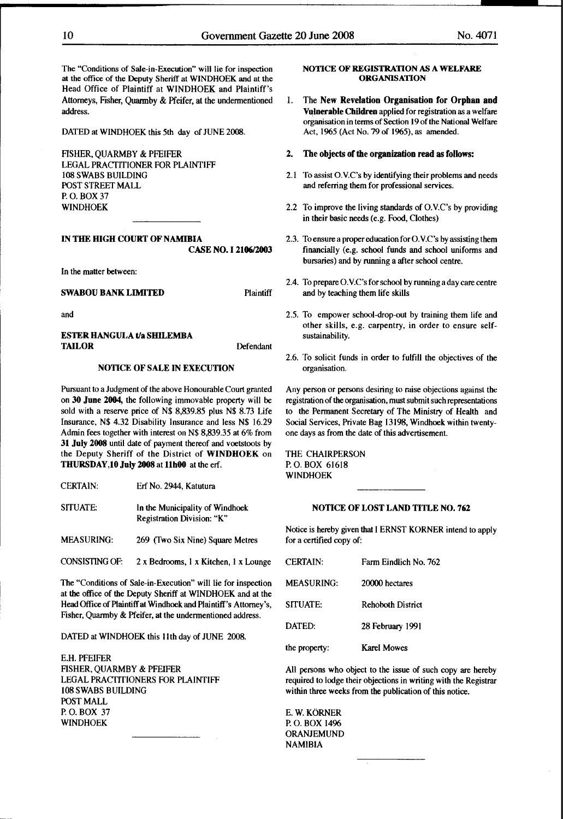The "Conditions of Sale-in-Execution" will lie for inspection at the office of the Deputy Sheriff at WINDHOEK and at the Head Office of Plaintiff at WINDHOEK and Plaintiff's Attorneys, Fisher, Quarmby & Pfeifer, at the undermentioned address.

DATED at WINDHOEK this 5th day of JUNE 2008.

FISHER, QUARMBY & PFEIFER LEGAL PRACfiTIONER FOR PLAINTIFF 108 SWABS BUILDING POST STREET MALL P.O.BOX37 WINDHOEK

# IN THE HIGH COURT OF NAMIBIA CASE NO. I 2106/2003

In the matter between:

and

 $C$ CERTAIN:

# ESTER HANGULA t/a SHILEMBA TAILOR Defendant

# NOTICE OF SALE IN EXECUTION

Pursuant to a Judgment of the above Honourable Court granted on 30 June 2004, the following immovable property will be sold with a reserve price of N\$ 8,839.85 plus N\$ 8.73 Life Insurance, N\$ 4.32 Disability Insurance and less N\$ 16.29 Admin fees together with interest on N\$ 8,839.35 at 6% from 31 July 2008 until date of payment thereof and voetstoots by the Deputy Sheriff of the District of WINDHOEK on THURSDAY, 10 July 2008 at 11h00 at the erf.

| <b>CERIAIN:</b> | Ert No. 2944. Katutura          |
|-----------------|---------------------------------|
| SITUATE:        | In the Municipality of Windhoek |

 $E(x)$  and  $E(x)$ 

Registration Division: "K"

- MEASURING: 269 (fwo Six Nine) Square Metres
- CONSISTING OF:  $2 \times$  Bedrooms, 1  $\times$  Kitchen, 1  $\times$  Lounge

The "Conditions of Sale-in-Execution" will lie for inspection at the office of the Deputy Sheriff at WINDHOEK and at the Head Office of Plaintiff at Windhoek and Plaintiff's Attorney's, Fisher, Quarmby & Pfeifer, at the undermentioned address.

DATED at WINDHOEK this 11th day of JUNE 2008.

E.H. PFEIFER FISHER, QUARMBY & PFEIFER LEGAL PRACfiTIONERS FOR PLAINTIFF 108 SWABS BUILDING POST MALL P.O. BOX 37 WINDHOEK

# NOTICE OF REGISTRATION AS A WELFARE **ORGANISATION**

l. The New Revelation Organisation for Orphan and Vulnerable Children applied for registration as a welfare organisation in terms of Section 19 of the National Welfare Act, 1965 (Act No. 79 of 1965), as amended.

#### 2. The objects of the organization read as follows:

- 2.1 To assist O.V.C's by identifying their problems and needs and referring them for professional services.
- 2.2 To improve the living standards of O.V.C's by providing in their basic needs (e.g. Food, Clothes)
- 2.3. To ensure a proper education for 0. V.C's by assisting them financially (e.g. school funds and school uniforms and bursaries) and by running a after school centre.
- 2.4. To prepare 0. V.C's for school by running a day care centre **SWABOU BANK LIMITED** Plaintiff and by teaching them life skills
	- 2.5. To empower school-drop-out by training them life and other skills, e.g. carpentry, in order to ensure selfsustainability.
	- 2.6. To solicit funds in order to fulfill the objectives of the organisation.

Any person or persons desiring to raise objections against the registration of the organisation, must submit such representations to the Permanent Secretary of The Ministry of Health and Social Services, Private Bag 13198, Windhoek within twentyone days as from the date of this advertisement.

THE CHAIRPERSON P. 0. BOX 61618 WINDHOEK

# NOTICE OF LOST LAND TITLE NO. 762

Notice is hereby given that I ERNST KORNER intend to apply for a certified copy of:

| <b>CERTAIN:</b>   | Farm Eindlich No. 762    |
|-------------------|--------------------------|
| <b>MEASURING:</b> | 20000 hectares           |
| SITUATE:          | <b>Rehoboth District</b> |
| DATED:            | 28 February 1991         |
| the property:     | <b>Karel Mowes</b>       |

All persons who object to the issue of such copy are hereby required to lodge their objections in writing with the Registrar within three weeks from the publication of this notice.

E.W. KÖRNER P. 0. BOX 1496 ORANJEMUND NAMIBIA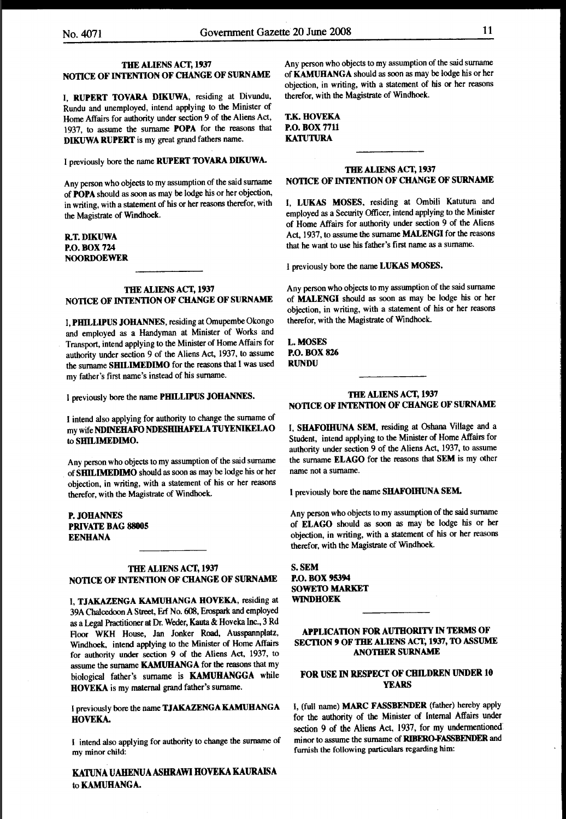# THE ALIENS ACT, 1937 NOTICE OF INTENTION OF CHANGE OF SURNAME

I, RUPERT TOVARA DIKUWA, residing at Divundu, Rundu and unemployed, intend applying to the Minister of Home Affairs for authority under section 9 of the Aliens Act, 1937, to assume the surname POPA for the reasons that DIKUWA RUPERT is my great grand fathers name.

I previously bore the name RUPERT TOVARA DIKUWA.

Any person who objects to my assumption of the said surname of POPA should as soon as may be lodge his or her objection, in writing, with a statement of his or her reasons therefor, with the Magistrate of Windhoek.

# R.T.DIKUWA P.O.BOX724 NOORDOEWER

# THE ALIENS ACT, 1937 NOTICE OF INTENTION OF CHANGE OF SURNAME

I, PHILLIPUS JOHANNES, residing at Omupembe Okongo and employed as a Handyman at Minister of Works and Transport, intend applying to the Minister of Home Affairs for authority under section 9 of the Aliens Act, 1937, to assume the surname SHILIMEDIMO for the reasons that I was used my father's first name's instead of his surname.

I previously bore the name PHILLIPUS JOHANNES.

I intend also applying for authority to change the surname of my wife NDINEHAFO NDESBIHAFELA TUYENIKELAO to SHILIMEDIMO.

Any person who objects to my assumption of the said surname of SHILIMEDIMO should as soon as may be lodge his or her objection, in writing, with a statement of his or her reasons therefor, with the Magistrate of Windhoek..

P.JOHANNES PRIVATE BAG 88005 EENHANA

# THE ALIENS ACT, 1937 NOTICE OF INTENTION OF CHANGE OF SURNAME

I, TJAKAZENGA KAMUHANGA HOVEKA, residing at 39A Chalcedoon A Street, Erf No. 608, Erospark and employed as a Legal Practitioner at Dr. Weder, Kauta & Hoveka Inc., 3 Rd Floor WKH House, Jan Jonker Road, Ausspannplatz, Windhoek, intend applying to the Minister of Home Affairs for authority under section 9 of the Aliens Act, 1937, to assume the surname KAMUHANGA for the reasons that my biological father's surname is KAMUBANGGA while HOVEKA is my maternal grand father's surname.

I previously bore the name TJAKAZENGA KAMUHANGA HOVEKA.

I intend also applying for authority to change the surname of my minor child:

KATUNA UAHENUA ASHRAWI HOVEKA KAURAISA to KAMUHANGA.

Any person who objects to my assumption of the said surname of KAMUHANGA should as soon as may be lodge his or her objection, in writing, with a statement of his or her reasons therefor, with the Magistrate of Windhoek.

# **T.K. HOVEKA** P.O. BOX 7711 KATUTURA

# THE ALIENS ACT, 1937 NOTICE OF INTENTION OF CHANGE OF SURNAME

I, LUKAS MOSES, residing at Ombili Katutura and employed as a Security Officer, intend applying to the Minister of Home Affairs for authority under section 9 of the Aliens Act, 1937, to assume the surname MALENGI for the reasons that he want to use his father's first name as a surname.

I previously bore the name LUKAS MOSES.

Any person who objects to my assumption of the said surname of MALENGI should as soon as may be lodge his or her objection, in writing, with a statement of his or her reasons therefor, with the Magistrate of Windhoek.

L.MOSES P.O. BOX 826 RUNDU

# THE ALIENS ACT, 1937 NOTICE OF INTENTION OF CHANGE OF SURNAME

I, SHAFOIHUNA SEM, residing at Oshana Village and a Student, intend applying to the Minister of Home Affairs for authority under section 9 of the Aliens Act, 1937, to assume the surname ELAGO for the reasons that SEM is my other name not a surname.

I previously bore the name SHAFOIHUNA SEM.

Any person who objects to my assumption of the said surname of ELAGO should as soon as may be lodge his or her objection, in writing, with a statement of his or her reasons therefor, with the Magistrate of Windhoek.

S.SEM P.O. BOX 95394 SOWETO MARKET WINDHOEK

APPLICATION FOR AUTHORITY IN TERMS OF SECTION 9 OF THE ALIENS ACT, 1937, TO ASSUME ANOTHER SURNAME

# FOR USE IN RESPECT OF CHILDREN UNDER 10 YEARS

I, (full name) MARC FASSBENDER (father) hereby apply for the authority of the Minister of Internal Affairs under section 9 of the Aliens Act, 1937, for my undermentioned minor to assume the surname of RIBERO.FASSBENDER and furnish the following particulars regarding him: